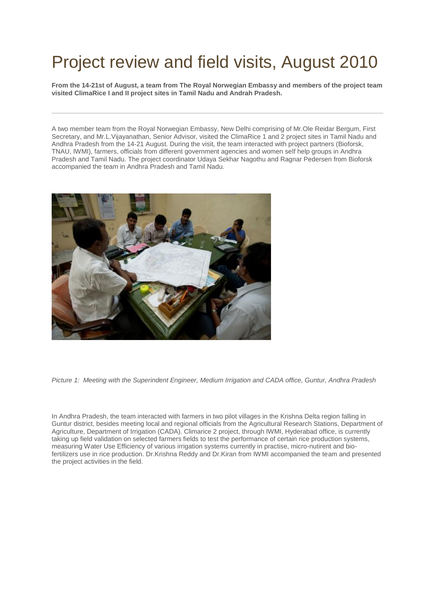## Project review and field visits, August 2010

**From the 14-21st of August, a team from The Royal Norwegian Embassy and members of the project team visited ClimaRice I and II project sites in Tamil Nadu and Andrah Pradesh.**

A two member team from the Royal Norwegian Embassy, New Delhi comprising of Mr.Ole Reidar Bergum, First Secretary, and Mr.L.Vijayanathan, Senior Advisor, visited the ClimaRice 1 and 2 project sites in Tamil Nadu and Andhra Pradesh from the 14-21 August. During the visit, the team interacted with project partners (Bioforsk, TNAU, IWMI), farmers, officials from different government agencies and women self help groups in Andhra Pradesh and Tamil Nadu. The project coordinator Udaya Sekhar Nagothu and Ragnar Pedersen from Bioforsk accompanied the team in Andhra Pradesh and Tamil Nadu.



*Picture 1: Meeting with the Superindent Engineer, Medium Irrigation and CADA office, Guntur, Andhra Pradesh*

In Andhra Pradesh, the team interacted with farmers in two pilot villages in the Krishna Delta region falling in Guntur district, besides meeting local and regional officials from the Agricultural Research Stations, Department of Agriculture, Department of Irrigation (CADA). Climarice 2 project, through IWMI, Hyderabad office, is currently taking up field validation on selected farmers fields to test the performance of certain rice production systems, measuring Water Use Efficiency of various irrigation systems currently in practise, micro-nutirent and biofertilizers use in rice production. Dr.Krishna Reddy and Dr.Kiran from IWMI accompanied the team and presented the project activities in the field.